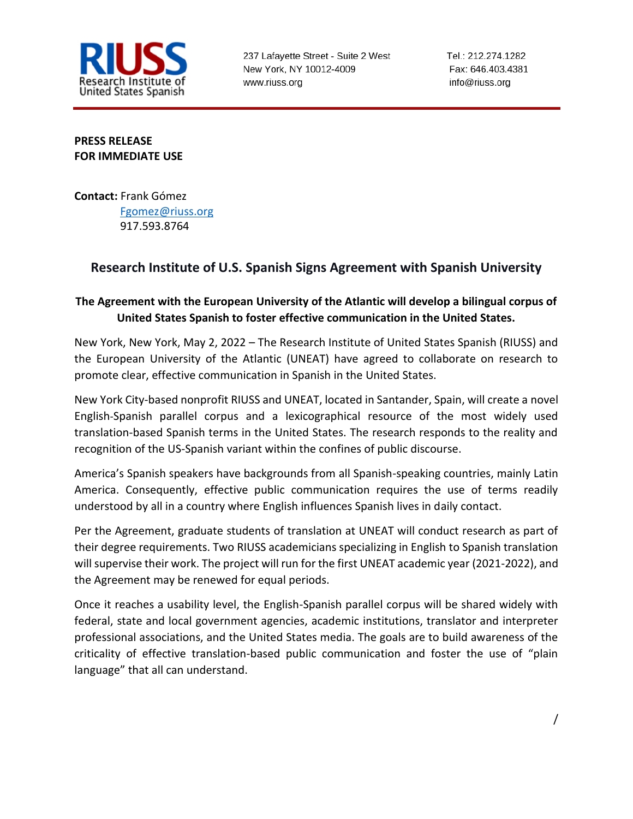

237 Lafayette Street - Suite 2 West New York, NY 10012-4009 www.riuss.org

Tel: 212 274 1282 Fax: 646.403.4381 info@riuss.org

**PRESS RELEASE FOR IMMEDIATE USE**

**Contact:** Frank Gómez [Fgomez@riuss.org](about:blank) 917.593.8764

## **Research Institute of U.S. Spanish Signs Agreement with Spanish University**

## **The Agreement with the European University of the Atlantic will develop a bilingual corpus of United States Spanish to foster effective communication in the United States.**

New York, New York, May 2, 2022 – The Research Institute of United States Spanish (RIUSS) and the European University of the Atlantic (UNEAT) have agreed to collaborate on research to promote clear, effective communication in Spanish in the United States.

New York City-based nonprofit RIUSS and UNEAT, located in Santander, Spain, will create a novel English-Spanish parallel corpus and a lexicographical resource of the most widely used translation-based Spanish terms in the United States. The research responds to the reality and recognition of the US-Spanish variant within the confines of public discourse.

America's Spanish speakers have backgrounds from all Spanish-speaking countries, mainly Latin America. Consequently, effective public communication requires the use of terms readily understood by all in a country where English influences Spanish lives in daily contact.

Per the Agreement, graduate students of translation at UNEAT will conduct research as part of their degree requirements. Two RIUSS academicians specializing in English to Spanish translation will supervise their work. The project will run for the first UNEAT academic year (2021-2022), and the Agreement may be renewed for equal periods.

Once it reaches a usability level, the English-Spanish parallel corpus will be shared widely with federal, state and local government agencies, academic institutions, translator and interpreter professional associations, and the United States media. The goals are to build awareness of the criticality of effective translation-based public communication and foster the use of "plain language" that all can understand.